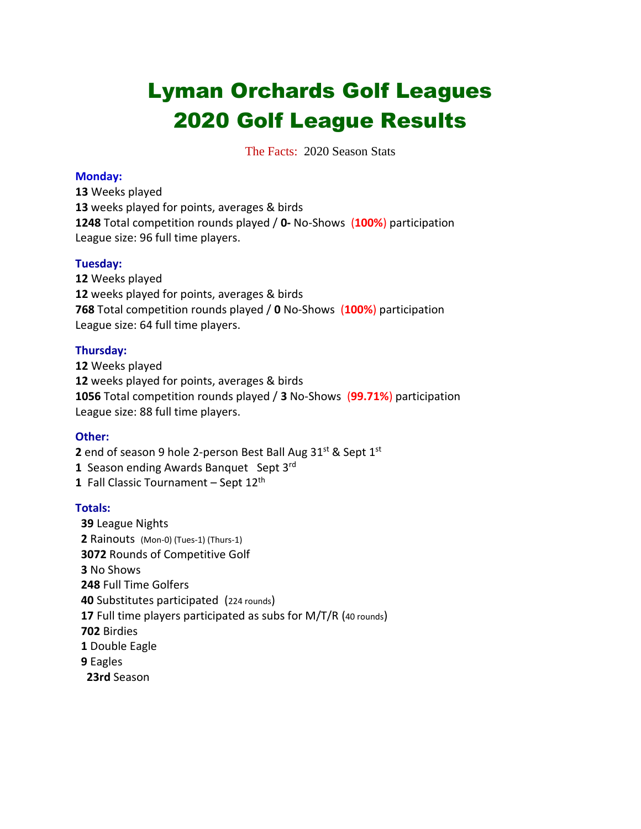# Lyman Orchards Golf Leagues Golf League Results

The Facts:2020 Season Stats

### **Monday:**

 Weeks played weeks played for points, averages & birds Total competition rounds played / **0-** No-Shows (**100%**) participation League size: 96 full time players.

### **Tuesday:**

 Weeks played weeks played for points, averages & birds Total competition rounds played / **0** No-Shows (**100%**) participation League size: 64 full time players.

# **Thursday:**

 Weeks played weeks played for points, averages & birds Total competition rounds played / **3** No-Shows (**99.71%**) participation League size: 88 full time players.

# **Other:**

**2** end of season 9 hole 2-person Best Ball Aug 31<sup>st</sup> & Sept 1<sup>st</sup>

- Season ending Awards Banquet Sept 3rd
- Fall Classic Tournament Sept 12th

# **Totals:**

 League Nights Rainouts (Mon-0) (Tues-1) (Thurs-1) Rounds of Competitive Golf No Shows Full Time Golfers Substitutes participated (224 rounds) Full time players participated as subs for M/T/R (40 rounds) Birdies Double Eagle Eagles **23rd** Season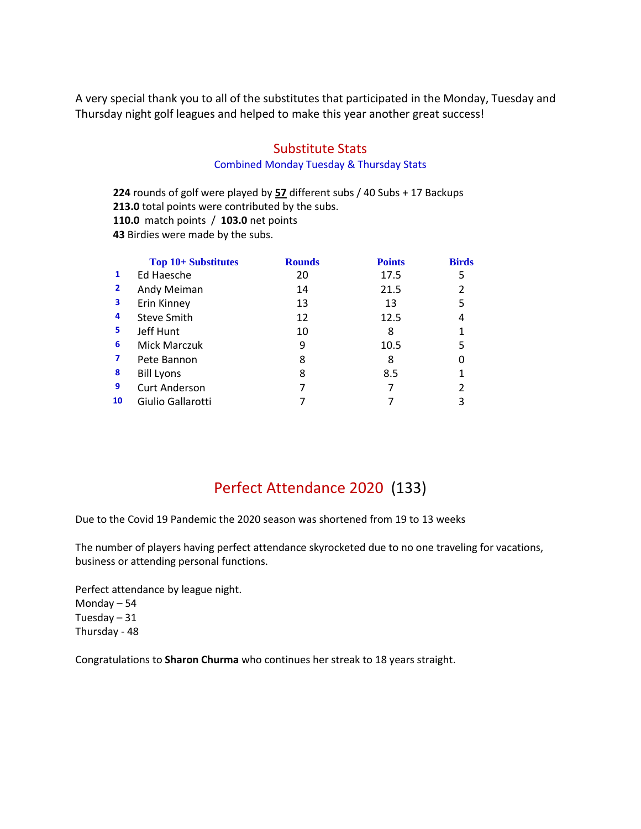A very special thank you to all of the substitutes that participated in the Monday, Tuesday and Thursday night golf leagues and helped to make this year another great success!

# Substitute Stats

### Combined Monday Tuesday & Thursday Stats

**224** rounds of golf were played by **57** different subs / 40 Subs + 17 Backups **213.0** total points were contributed by the subs. **110.0** match points / **103.0** net points **43** Birdies were made by the subs.

|                | <b>Top 10+ Substitutes</b> | <b>Rounds</b> | <b>Points</b> | <b>Birds</b> |
|----------------|----------------------------|---------------|---------------|--------------|
| 1              | Ed Haesche                 | 20            | 17.5          | 5            |
| $\overline{2}$ | Andy Meiman                | 14            | 21.5          | 2            |
| 3              | Erin Kinney                | 13            | 13            | 5            |
| 4              | Steve Smith                | 12            | 12.5          |              |
| 5              | Jeff Hunt                  | 10            | 8             |              |
| 6              | Mick Marczuk               | 9             | 10.5          | 5            |
| 7              | Pete Bannon                | 8             | 8             |              |
| 8              | <b>Bill Lyons</b>          | 8             | 8.5           |              |
| 9              | <b>Curt Anderson</b>       |               |               | 2            |
| 10             | Giulio Gallarotti          |               |               | 3            |

# Perfect Attendance 2020 (133)

Due to the Covid 19 Pandemic the 2020 season was shortened from 19 to 13 weeks

The number of players having perfect attendance skyrocketed due to no one traveling for vacations, business or attending personal functions.

Perfect attendance by league night. Monday – 54 Tuesday – 31 Thursday - 48

Congratulations to **Sharon Churma** who continues her streak to 18 years straight.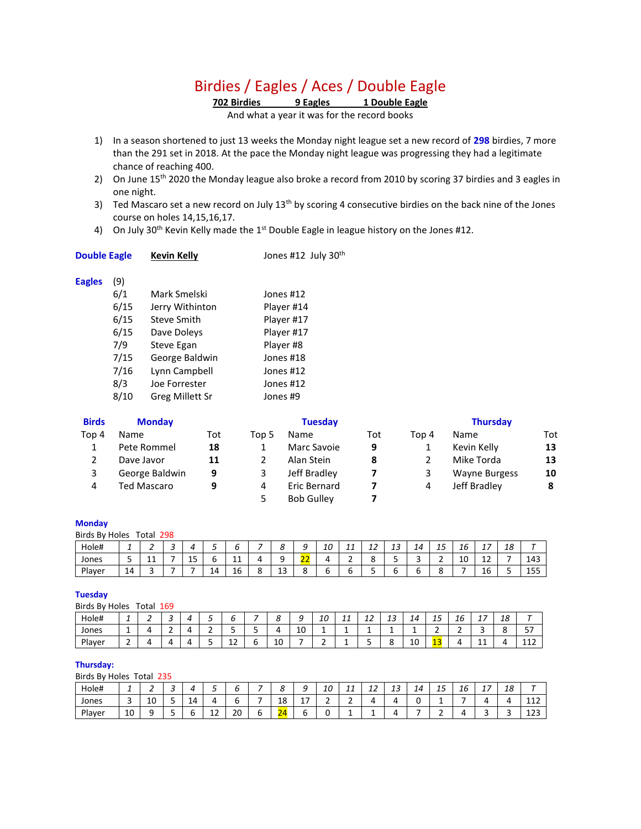# Birdies / Eagles / Aces / Double Eagle

**702 Birdies 9 Eagles 1 Double Eagle**

And what a year it was for the record books

- 1) In a season shortened to just 13 weeks the Monday night league set a new record of **298** birdies, 7 more than the 291 set in 2018. At the pace the Monday night league was progressing they had a legitimate chance of reaching 400.
- 2) On June 15<sup>th</sup> 2020 the Monday league also broke a record from 2010 by scoring 37 birdies and 3 eagles in one night.
- 3) Ted Mascaro set a new record on July 13<sup>th</sup> by scoring 4 consecutive birdies on the back nine of the Jones course on holes 14,15,16,17.
- 4) On July 30<sup>th</sup> Kevin Kelly made the  $1<sup>st</sup>$  Double Eagle in league history on the Jones #12.

| <b>Double Eagle</b> | <b>Kevin Kelly</b> | Jones #12 July 30th |
|---------------------|--------------------|---------------------|
|---------------------|--------------------|---------------------|

#### **Eagles** (9)

| 6/1  | Mark Smelski      | Jones #12  |
|------|-------------------|------------|
| 6/15 | Jerry Withinton   | Player #14 |
| 6/15 | Steve Smith       | Player #17 |
| 6/15 | Dave Doleys       | Player #17 |
| 7/9  | <b>Steve Egan</b> | Player #8  |
| 7/15 | George Baldwin    | Jones #18  |
| 7/16 | Lynn Campbell     | Jones #12  |
| 8/3  | Joe Forrester     | Jones #12  |
| 8/10 | Greg Millett Sr   | Jones #9   |
|      |                   |            |

| <b>Birds</b> | <b>Monday</b>      |     |       | <b>Tuesday</b>    |     | <b>Thursday</b> |                      |     |  |
|--------------|--------------------|-----|-------|-------------------|-----|-----------------|----------------------|-----|--|
| Top 4        | Name               | Tot | Top 5 | Name              | Tot | Top 4           | Name                 | Tot |  |
|              | Pete Rommel        | 18  |       | Marc Savoie       | 9   | 1               | Kevin Kelly          | 13  |  |
|              | Dave Javor         | 11  |       | Alan Stein        | 8   |                 | Mike Torda           | 13  |  |
| 3            | George Baldwin     | 9   | 3     | Jeff Bradley      |     | 3               | <b>Wayne Burgess</b> | 10  |  |
| 4            | <b>Ted Mascaro</b> | 9   | 4     | Eric Bernard      |     | 4               | Jeff Bradley         | 8   |  |
|              |                    |     |       | <b>Bob Gulley</b> |     |                 |                      |     |  |

#### **Monday**

| Birds By Holes<br>Total 298 |          |   |   |           |    |          |   |          |           |    |          |             |    |        |         |    |                 |    |     |
|-----------------------------|----------|---|---|-----------|----|----------|---|----------|-----------|----|----------|-------------|----|--------|---------|----|-----------------|----|-----|
| Hole#                       | <u>.</u> | - | ◡ |           | ັ  |          |   | o        | a<br>╯    | 10 | 11<br>ᅩᆂ | $\sim$<br>ᅩ | 13 | 14     | 15      | 16 | <u>ь</u><br>. . | 18 |     |
| Jones                       | ◡        | ᆠ |   | 1 E<br>LJ | ບ  | 11<br>ᆠᆂ |   |          | $-$<br>-- |    | ∽<br>-   | ັ           |    | ∽<br>٠ | -<br>-  | 10 | . .<br>∸        |    | 143 |
| Player                      | 14       |   |   |           | 14 | 16       | u | 1.<br>IJ | ິດ<br>٥   |    |          | -           |    | ີ      | ິດ<br>٥ |    | 16              |    | 155 |

#### **Tuesday**

| Birds By Holes |        | Total. | 169   |   |         |    |    |    |          |          |                  |    |                |    |               |    |            |
|----------------|--------|--------|-------|---|---------|----|----|----|----------|----------|------------------|----|----------------|----|---------------|----|------------|
| Hole#          | -      | -      | -<br> |   |         | Ο  | a  | 10 | 11<br>-- | <u>_</u> | $1^{\circ}$<br>∸ | 14 | <u>—</u><br>כב | 16 | -<br><b>.</b> | 18 |            |
| Jones          |        |        | -     | - | -       | 4  | 10 |    | -        | -        | -                |    | -              | -  | ◡             |    | --<br>ו כ  |
| Player         | -<br>- |        |       |   | ຳ<br>ᅩᄼ | 10 | -  | -  |          | --       | о                | 10 | 13             |    | ᆠ             |    | 112<br>ᆠᆂᄼ |

#### **Thursday:**

Birds By Holes Total 235

| Hole#  | -      | -<br>-    |        |    |                                |    |                            | <br>-           | $\sqrt{ }$<br>ᆚ | $\overline{A}$<br>-- | ∽<br>ᅩᄼ | -- | 14 | $\overline{a}$ $\overline{b}$<br>-- | 16 | -<br><b>. .</b> | ۰<br>ΠŌ |                        |
|--------|--------|-----------|--------|----|--------------------------------|----|----------------------------|-----------------|-----------------|----------------------|---------|----|----|-------------------------------------|----|-----------------|---------|------------------------|
| Jones  | ∽<br>ັ | . .<br>πn | -      | 14 |                                |    | $\overline{ }$<br>o<br>ᅟᅩᇰ | $-$<br><b>.</b> | -               | -<br>-               |         |    | ∼  | -                                   | -  |                 |         | $\sim$<br>-- <i>--</i> |
| Player | 10     |           | -<br>÷ |    | $\overline{\phantom{0}}$<br>ᅩᄼ | 20 | $\sim$<br>, ,<br>$\sim$    | ∽               |                 | -                    | -       |    | -  | -                                   |    | -               |         | ר רו<br>ᆠᄼ             |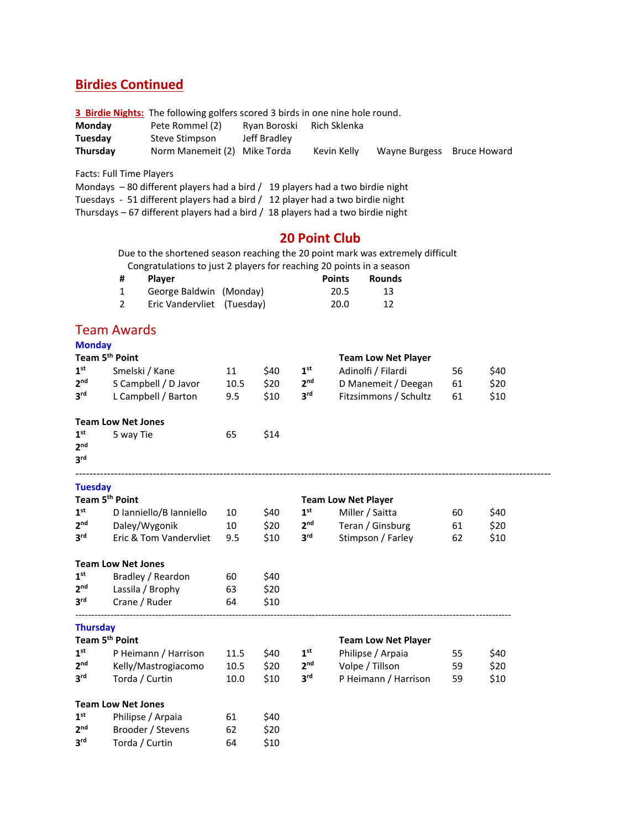# **Birdies Continued**

**3 Birdie Nights:** The following golfers scored 3 birds in one nine hole round.

| Monday   | Pete Rommel (2)              | Rvan Boroski | Rich Sklenka |                            |  |
|----------|------------------------------|--------------|--------------|----------------------------|--|
| Tuesday  | Steve Stimpson               | Jeff Bradlev |              |                            |  |
| Thursdav | Norm Manemeit (2) Mike Torda |              | Kevin Kelly  | Wayne Burgess Bruce Howard |  |

Facts: Full Time Players

Mondays – 80 different players had a bird / 19 players had a two birdie night

Tuesdays - 51 different players had a bird / 12 player had a two birdie night

Thursdays – 67 different players had a bird / 18 players had a two birdie night

# **20 Point Club**

 Due to the shortened season reaching the 20 point mark was extremely difficult Congratulations to just 2 players for reaching 20 points in a season

| # | <b>Plaver</b>              | <b>Points</b> | Rounds |
|---|----------------------------|---------------|--------|
|   | George Baldwin (Monday)    | 20.5          | 13     |
|   | Eric Vandervliet (Tuesday) | 20.0          | 12     |

# Team Awards

**3**

**rda** / Curtin 64 \$10

| <b>Monday</b>                                         |                           |      |      |                 |                            |    |      |
|-------------------------------------------------------|---------------------------|------|------|-----------------|----------------------------|----|------|
| Team 5 <sup>th</sup> Point                            |                           |      |      |                 | <b>Team Low Net Player</b> |    |      |
| 1 <sup>st</sup>                                       | Smelski / Kane            | 11   | \$40 | 1 <sup>st</sup> | Adinolfi / Filardi         | 56 | \$40 |
| 2 <sub>nd</sub>                                       | S Campbell / D Javor      | 10.5 | \$20 | 2 <sub>nd</sub> | D Manemeit / Deegan        | 61 | \$20 |
| 3 <sup>rd</sup>                                       | L Campbell / Barton       | 9.5  | \$10 | 3 <sup>rd</sup> | Fitzsimmons / Schultz      | 61 | \$10 |
|                                                       | <b>Team Low Net Jones</b> |      |      |                 |                            |    |      |
| 1 <sup>st</sup><br>2 <sub>nd</sub><br>3 <sup>rd</sup> | 5 way Tie                 | 65   | \$14 |                 |                            |    |      |
| <b>Tuesday</b>                                        |                           |      |      |                 |                            |    |      |
| Team 5 <sup>th</sup> Point                            |                           |      |      |                 | <b>Team Low Net Player</b> |    |      |
| 1 <sup>st</sup>                                       | D Ianniello/B Ianniello   | 10   | \$40 | 1 <sup>st</sup> | Miller / Saitta            | 60 | \$40 |
| 2 <sub>nd</sub>                                       | Daley/Wygonik             | 10   | \$20 | 2 <sub>nd</sub> | Teran / Ginsburg           | 61 | \$20 |
| 3 <sup>rd</sup>                                       | Eric & Tom Vandervliet    | 9.5  | \$10 | 3 <sup>rd</sup> | Stimpson / Farley          | 62 | \$10 |
|                                                       | <b>Team Low Net Jones</b> |      |      |                 |                            |    |      |
| 1 <sup>st</sup>                                       | Bradley / Reardon         | 60   | \$40 |                 |                            |    |      |
| 2 <sub>nd</sub>                                       | Lassila / Brophy          | 63   | \$20 |                 |                            |    |      |
| 3 <sup>rd</sup>                                       | Crane / Ruder             | 64   | \$10 |                 |                            |    |      |
| <b>Thursday</b>                                       |                           |      |      |                 |                            |    |      |
| Team 5 <sup>th</sup> Point                            |                           |      |      |                 | <b>Team Low Net Player</b> |    |      |
| 1 <sup>st</sup>                                       | P Heimann / Harrison      | 11.5 | \$40 | 1 <sup>st</sup> | Philipse / Arpaia          | 55 | \$40 |
| 2 <sub>nd</sub>                                       | Kelly/Mastrogiacomo       | 10.5 | \$20 | 2 <sup>nd</sup> | Volpe / Tillson            | 59 | \$20 |
| 3rd                                                   | Torda / Curtin            | 10.0 | \$10 | 3 <sup>rd</sup> | P Heimann / Harrison       | 59 | \$10 |
|                                                       | <b>Team Low Net Jones</b> |      |      |                 |                            |    |      |
| 1 <sup>st</sup>                                       | Philipse / Arpaia         | 61   | \$40 |                 |                            |    |      |
| 2 <sub>nd</sub>                                       | Brooder / Stevens         | 62   | \$20 |                 |                            |    |      |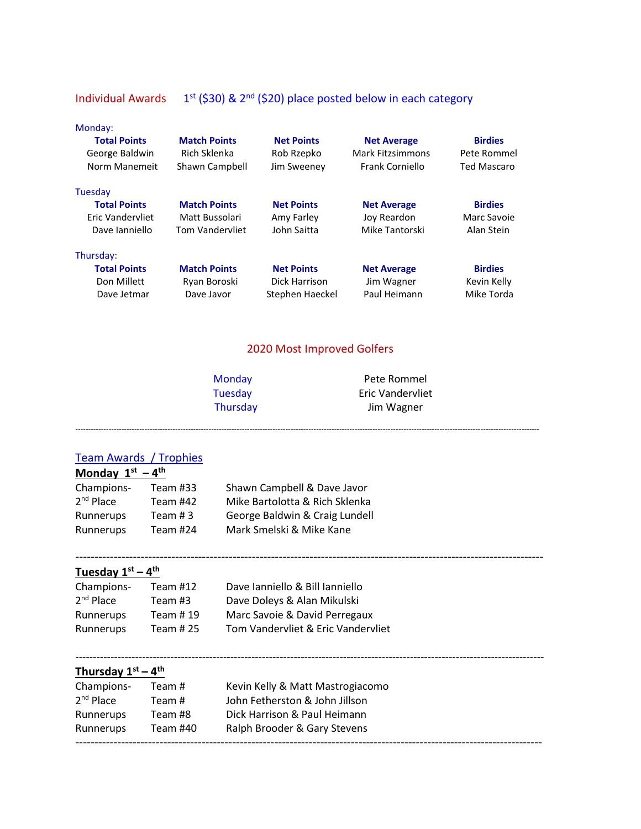# Individual Awards  $1^{st}$  (\$30) & 2<sup>nd</sup> (\$20) place posted below in each category

Monday:

| <b>Total Points</b><br>George Baldwin<br>Norm Manemeit | <b>Match Points</b><br>Rich Sklenka<br>Shawn Campbell | <b>Net Points</b><br>Rob Rzepko<br>Jim Sweeney | <b>Net Average</b><br><b>Mark Fitzsimmons</b><br>Frank Corniello | <b>Birdies</b><br>Pete Rommel<br><b>Ted Mascaro</b> |
|--------------------------------------------------------|-------------------------------------------------------|------------------------------------------------|------------------------------------------------------------------|-----------------------------------------------------|
| Tuesday                                                |                                                       |                                                |                                                                  |                                                     |
| <b>Total Points</b>                                    | <b>Match Points</b>                                   | <b>Net Points</b>                              | <b>Net Average</b>                                               | <b>Birdies</b>                                      |
| Eric Vandervliet                                       | Matt Bussolari                                        | Amy Farley                                     | Joy Reardon                                                      | Marc Savoie                                         |
| Dave Janniello                                         | <b>Tom Vandervliet</b>                                | John Saitta                                    | Mike Tantorski                                                   | Alan Stein                                          |
| Thursday:                                              |                                                       |                                                |                                                                  |                                                     |
| <b>Total Points</b>                                    | <b>Match Points</b>                                   | <b>Net Points</b>                              | <b>Net Average</b>                                               | <b>Birdies</b>                                      |
| Don Millett                                            | Ryan Boroski                                          | Dick Harrison                                  | Jim Wagner                                                       | Kevin Kelly                                         |
| Dave Jetmar                                            | Dave Javor                                            | Stephen Haeckel                                | Paul Heimann                                                     | Mike Torda                                          |

# 2020 Most Improved Golfers

| Mondav          |  |
|-----------------|--|
| <b>Tuesday</b>  |  |
| <b>Thursday</b> |  |

Pete Rommel **Eric Vandervliet** Jim Wagner

-------------------------------------------------------------------------------------------------------------------------------------------------------------------------------------

# Team Awards / Trophies

| Monday $1^{st} - 4^{th}$ |          |                                |  |  |
|--------------------------|----------|--------------------------------|--|--|
| Champions-               | Team #33 | Shawn Campbell & Dave Javor    |  |  |
| 2 <sup>nd</sup> Place    | Team #42 | Mike Bartolotta & Rich Sklenka |  |  |
| Runnerups                | Team # 3 | George Baldwin & Craig Lundell |  |  |
| Runnerups                | Team #24 | Mark Smelski & Mike Kane       |  |  |
|                          |          |                                |  |  |

# **Tuesday 1st – 4 th**

| Team #12  | Dave Ianniello & Bill Ianniello    |
|-----------|------------------------------------|
| Team #3   | Dave Doleys & Alan Mikulski        |
| Team #19  | Marc Savoie & David Perregaux      |
| Team # 25 | Tom Vandervliet & Eric Vandervliet |
|           |                                    |

# **Thursday 1st – 4 th**

| Champions-  | Team #   | Kevin Kelly & Matt Mastrogiacomo |
|-------------|----------|----------------------------------|
| $2nd$ Place | Team #   | John Fetherston & John Jillson   |
| Runnerups   | Team #8  | Dick Harrison & Paul Heimann     |
| Runnerups   | Team #40 | Ralph Brooder & Gary Stevens     |
|             |          |                                  |

-------------------------------------------------------------------------------------------------------------------------------------

--------------------------------------------------------------------------------------------------------------------------